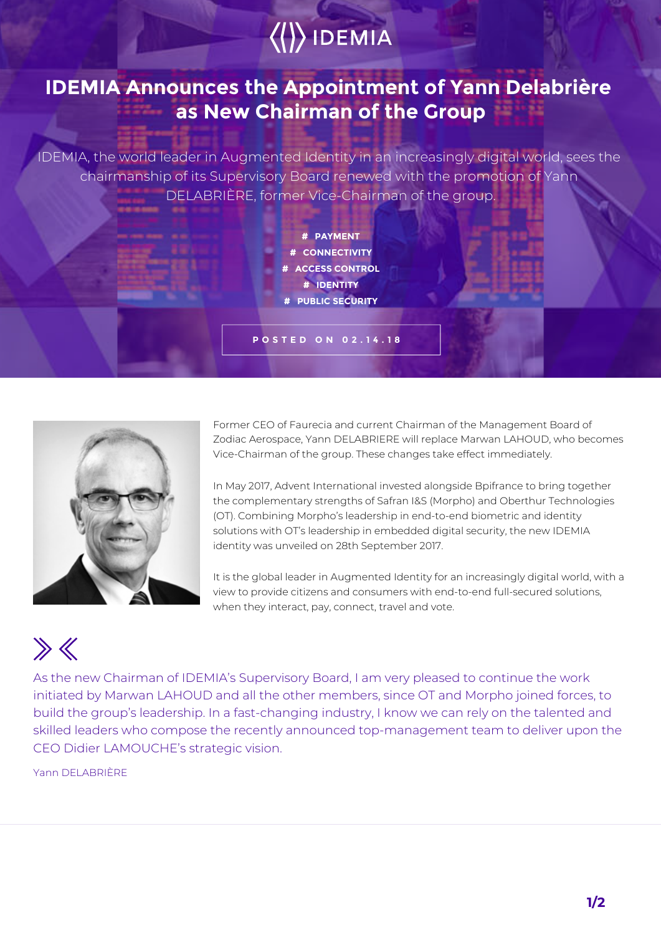## $\langle\langle\rangle\rangle$  IDEMIA

## **IDEMIA Announces the Appointment of Yann Delabrière as New Chairman of the Group**

IDEMIA, the world leader in Augmented Identity in an increasingly digital world, sees the chairmanship of its Supervisory Board renewed with the promotion of Yann DELABRIÈRE, former Vice-Chairman of the group.





Former CEO of Faurecia and current Chairman of the Management Board of Zodiac Aerospace, Yann DELABRIERE will replace Marwan LAHOUD, who becomes Vice-Chairman of the group. These changes take effect immediately.

In May 2017, Advent International invested alongside Bpifrance to bring together the complementary strengths of Safran I&S (Morpho) and Oberthur Technologies (OT). Combining Morpho's leadership in end-to-end biometric and identity solutions with OT's leadership in embedded digital security, the new IDEMIA identity was unveiled on 28th September 2017.

It is the global leader in Augmented Identity for an increasingly digital world, with a view to provide citizens and consumers with end-to-end full-secured solutions, when they interact, pay, connect, travel and vote.

## $\gg K$

As the new Chairman of IDEMIA's Supervisory Board, I am very pleased to continue the work initiated by Marwan LAHOUD and all the other members, since OT and Morpho joined forces, to build the group's leadership. In a fast-changing industry, I know we can rely on the talented and skilled leaders who compose the recently announced top-management team to deliver upon the CEO Didier LAMOUCHE's strategic vision.

Yann DELABRIÈRE